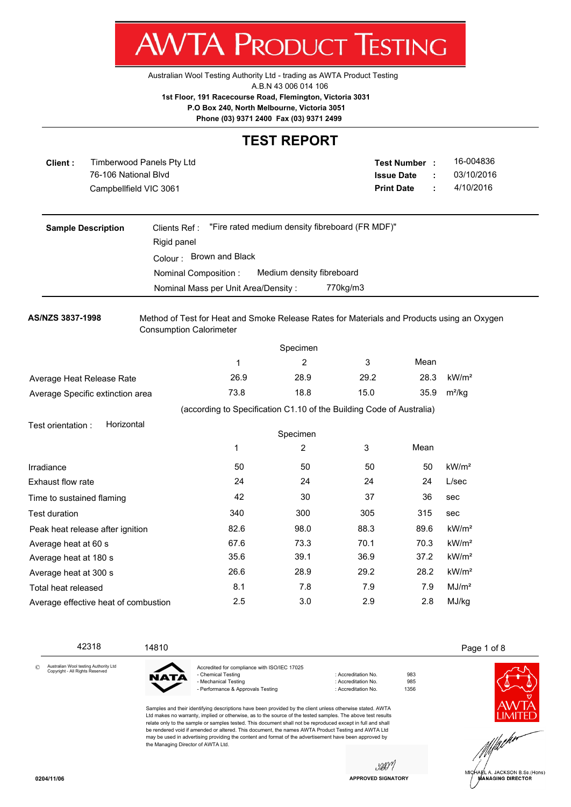Australian Wool Testing Authority Ltd - trading as AWTA Product Testing

A.B.N 43 006 014 106

**AWTA PRODUCT TESTING** 

**1st Floor, 191 Racecourse Road, Flemington, Victoria 3031**

 **P.O Box 240, North Melbourne, Victoria 3051**

**Phone (03) 9371 2400 Fax (03) 9371 2499**

#### **TEST REPORT**

| Client:                   | Timberwood Panels Pty Ltd<br>76-106 National Blvd<br>Campbellfield VIC 3061 |                                                                                                                              |                                                 |                           |          | Test Number :<br><b>Issue Date</b><br><b>Print Date</b>              | ÷<br>÷ | 16-004836<br>03/10/2016<br>4/10/2016 |  |  |  |
|---------------------------|-----------------------------------------------------------------------------|------------------------------------------------------------------------------------------------------------------------------|-------------------------------------------------|---------------------------|----------|----------------------------------------------------------------------|--------|--------------------------------------|--|--|--|
|                           | <b>Sample Description</b>                                                   | Clients Ref:                                                                                                                 | "Fire rated medium density fibreboard (FR MDF)" |                           |          |                                                                      |        |                                      |  |  |  |
|                           |                                                                             | Rigid panel                                                                                                                  |                                                 |                           |          |                                                                      |        |                                      |  |  |  |
|                           |                                                                             |                                                                                                                              | Colour: Brown and Black                         |                           |          |                                                                      |        |                                      |  |  |  |
|                           |                                                                             | Nominal Composition:                                                                                                         |                                                 | Medium density fibreboard |          |                                                                      |        |                                      |  |  |  |
|                           |                                                                             | Nominal Mass per Unit Area/Density:                                                                                          |                                                 |                           | 770kg/m3 |                                                                      |        |                                      |  |  |  |
| AS/NZS 3837-1998          |                                                                             | Method of Test for Heat and Smoke Release Rates for Materials and Products using an Oxygen<br><b>Consumption Calorimeter</b> |                                                 |                           |          |                                                                      |        |                                      |  |  |  |
|                           |                                                                             |                                                                                                                              |                                                 | Specimen                  |          |                                                                      |        |                                      |  |  |  |
|                           |                                                                             |                                                                                                                              | 1                                               | $\overline{2}$            | 3        | Mean                                                                 |        |                                      |  |  |  |
|                           | Average Heat Release Rate                                                   |                                                                                                                              | 26.9                                            | 28.9                      | 29.2     | 28.3                                                                 |        | kW/m <sup>2</sup>                    |  |  |  |
|                           | Average Specific extinction area                                            |                                                                                                                              | 73.8                                            | 18.8                      | 15.0     | 35.9                                                                 |        | $m^2/kg$                             |  |  |  |
|                           |                                                                             |                                                                                                                              |                                                 |                           |          | (according to Specification C1.10 of the Building Code of Australia) |        |                                      |  |  |  |
| Test orientation :        | Horizontal                                                                  |                                                                                                                              |                                                 |                           |          |                                                                      |        |                                      |  |  |  |
|                           |                                                                             |                                                                                                                              |                                                 | Specimen                  |          |                                                                      |        |                                      |  |  |  |
|                           |                                                                             |                                                                                                                              | 1                                               | 2                         | 3        | Mean                                                                 |        |                                      |  |  |  |
| Irradiance                |                                                                             |                                                                                                                              | 50                                              | 50                        | 50       | 50                                                                   |        | kW/m <sup>2</sup>                    |  |  |  |
| Exhaust flow rate         |                                                                             |                                                                                                                              | 24                                              | 24                        | 24       | 24                                                                   |        | L/sec                                |  |  |  |
| Time to sustained flaming |                                                                             |                                                                                                                              | 42                                              | 30                        | 37       | 36                                                                   |        | sec                                  |  |  |  |
| <b>Test duration</b>      |                                                                             |                                                                                                                              | 340                                             | 300                       | 305      | 315                                                                  |        | sec                                  |  |  |  |
|                           | Peak heat release after ignition                                            |                                                                                                                              | 82.6                                            | 98.0                      | 88.3     | 89.6                                                                 |        | kW/m <sup>2</sup>                    |  |  |  |
| Average heat at 60 s      |                                                                             |                                                                                                                              | 67.6                                            | 73.3                      | 70.1     | 70.3                                                                 |        | kW/m <sup>2</sup>                    |  |  |  |
| Average heat at 180 s     |                                                                             |                                                                                                                              | 35.6                                            | 39.1                      | 36.9     | 37.2                                                                 |        | kW/m <sup>2</sup>                    |  |  |  |
| Average heat at 300 s     |                                                                             |                                                                                                                              | 26.6                                            | 28.9                      | 29.2     | 28.2                                                                 |        | kW/m <sup>2</sup>                    |  |  |  |
| Total heat released       |                                                                             |                                                                                                                              | 8.1                                             | 7.8                       | 7.9      | 7.9                                                                  |        | MJ/m <sup>2</sup>                    |  |  |  |
|                           | Average effective heat of combustion                                        |                                                                                                                              | 2.5                                             | 3.0                       | 2.9      | 2.8                                                                  |        | MJ/kg                                |  |  |  |

42318 14810 14810 15 and 14810 15 and 14810 15 and 15 and 16 and 16 and 16 and 16 and 16 and 16 and 16 and 16 and 16 and 16 and 16 and 16 and 16 and 16 and 16 and 16 and 16 and 16 and 16 and 16 and 16 and 16 and 16 and 16

Australian Wool testing Authority Ltd Copyright - All Rights Reserved ©



Accredited for compliance with ISO/IEC 17025 - Chemical Testing **in Accreditation No.** 983 - Mechanical Testing in the state of the control of Accreditation No. 5985<br>- Performance & Approvals Testing in the control of Accreditation No. 61356 - Performance & Approvals Testing

Samples and their identifying descriptions have been provided by the client unless otherwise stated. AWTA Ltd makes no warranty, implied or otherwise, as to the source of the tested samples. The above test results relate only to the sample or samples tested. This document shall not be reproduced except in full and shall be rendered void if amended or altered. This document, the names AWTA Product Testing and AWTA Ltd may be used in advertising providing the content and format of the advertisement have been approved by the Managing Director of AWTA Ltd.

IMITEE h dr

JACKSON B.Sc.(Hons) **MANAGING DIRECTOR** 

sport **APPROVED SIGNATORY**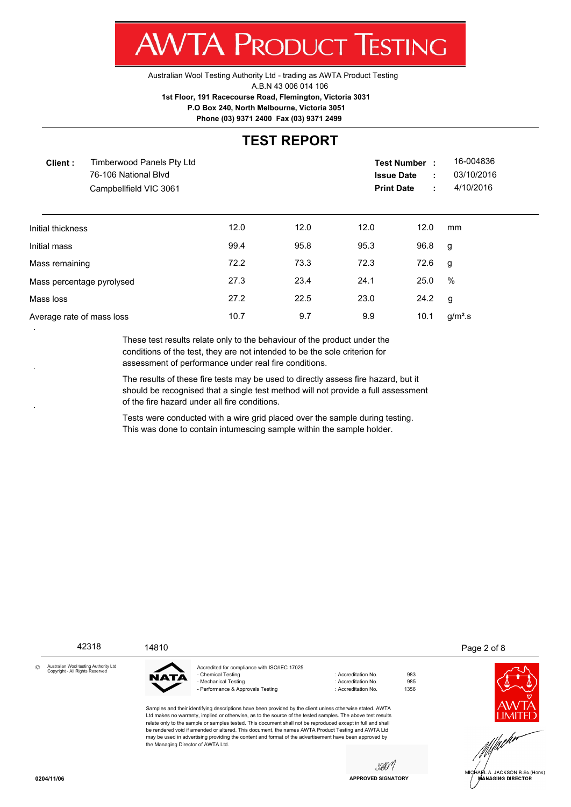Australian Wool Testing Authority Ltd - trading as AWTA Product Testing A.B.N 43 006 014 106 **1st Floor, 191 Racecourse Road, Flemington, Victoria 3031 P.O Box 240, North Melbourne, Victoria 3051**

**Phone (03) 9371 2400 Fax (03) 9371 2499**

#### **TEST REPORT**

|      |      |      | ÷<br>÷ | 16-004836<br>03/10/2016<br>4/10/2016                         |  |
|------|------|------|--------|--------------------------------------------------------------|--|
| 12.0 | 12.0 | 12.0 | 12.0   | mm                                                           |  |
| 99.4 | 95.8 | 95.3 | 96.8   | g                                                            |  |
| 72.2 | 73.3 | 72.3 | 72.6   | g                                                            |  |
| 27.3 | 23.4 | 24.1 | 25.0   | $\%$                                                         |  |
| 27.2 | 22.5 | 23.0 | 24.2   | g                                                            |  |
| 10.7 | 9.7  | 9.9  | 10.1   | g/m <sup>2</sup> .s                                          |  |
|      |      |      |        | <b>Test Number</b><br><b>Issue Date</b><br><b>Print Date</b> |  |

These test results relate only to the behaviour of the product under the conditions of the test, they are not intended to be the sole criterion for assessment of performance under real fire conditions.

The results of these fire tests may be used to directly assess fire hazard, but it should be recognised that a single test method will not provide a full assessment of the fire hazard under all fire conditions.

Tests were conducted with a wire grid placed over the sample during testing. This was done to contain intumescing sample within the sample holder.

42318 14810 14810 15 and 14810 15 and 14810 15 and 14810 15 and 15 and 16 and 16 and 16 and 16 and 16 and 16 and 16 and 16 and 16 and 16 and 16 and 16 and 16 and 16 and 16 and 16 and 16 and 16 and 16 and 16 and 16 and 16 a

Australian Wool testing Authority Ltd Copyright - All Rights Reserved ©



Accredited for compliance with ISO/IEC 17025 - Chemical Testing **in Accreditation No.** 983 - Mechanical Testing in the state of the control of Accreditation No. 5985<br>- Performance & Approvals Testing in the control of Accreditation No. 61356 - Performance & Approvals Testing : Accreditation No.

Samples and their identifying descriptions have been provided by the client unless otherwise stated. AWTA Ltd makes no warranty, implied or otherwise, as to the source of the tested samples. The above test results relate only to the sample or samples tested. This document shall not be reproduced except in full and shall be rendered void if amended or altered. This document, the names AWTA Product Testing and AWTA Ltd may be used in advertising providing the content and format of the advertisement have been approved by the Managing Director of AWTA Ltd.

JACKSON B.Sc.(Hons) **ÍANAGING DIRECTOR** 

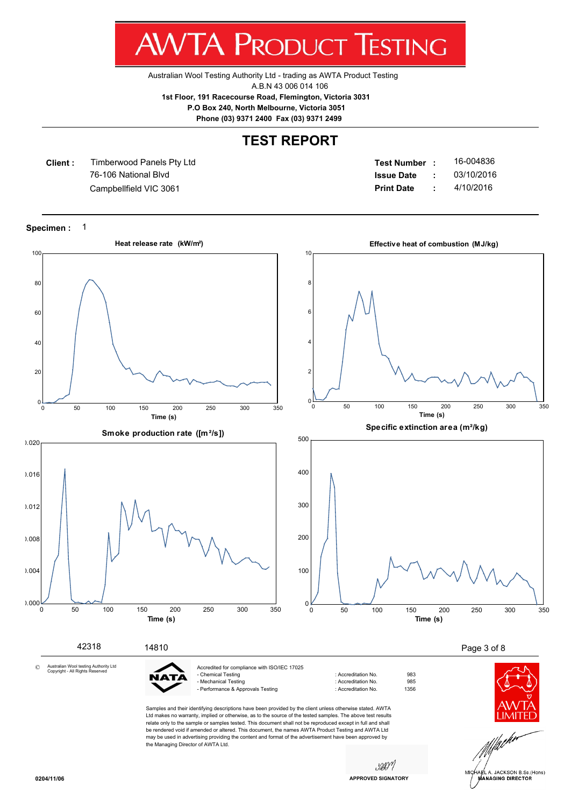Australian Wool Testing Authority Ltd - trading as AWTA Product Testing

A.B.N 43 006 014 106

**1st Floor, 191 Racecourse Road, Flemington, Victoria 3031**

 **P.O Box 240, North Melbourne, Victoria 3051**

**Phone (03) 9371 2400 Fax (03) 9371 2499**

#### **TEST REPORT**

**Client :** 76-106 National Blvd Timberwood Panels Pty Ltd

**Test Number : Issue Date :** 16-004836 Campbellfield VIC 3061 **Print Date :** 4/10/2016 03/10/2016

**Specimen :** 1



JACKSON B.Sc.(Hons) **ANAGING DIRECTOR**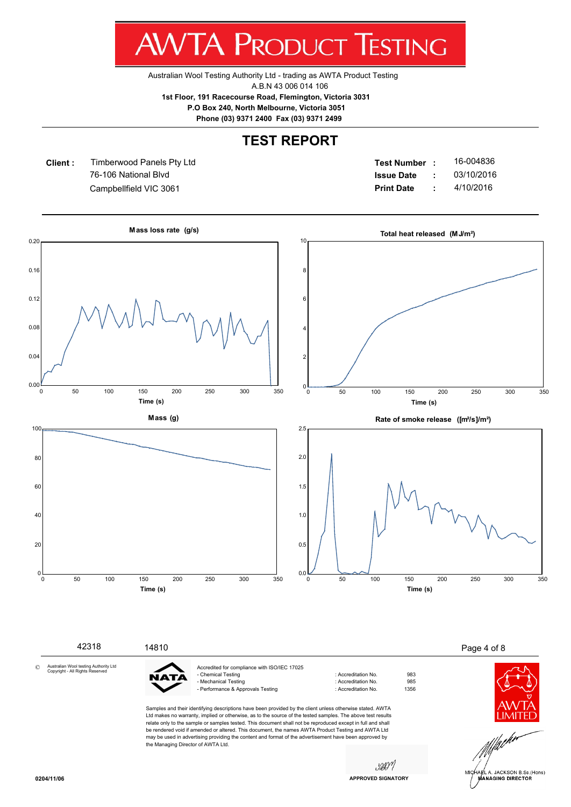Australian Wool Testing Authority Ltd - trading as AWTA Product Testing

A.B.N 43 006 014 106

**1st Floor, 191 Racecourse Road, Flemington, Victoria 3031**

 **P.O Box 240, North Melbourne, Victoria 3051**

**Phone (03) 9371 2400 Fax (03) 9371 2499**

### **TEST REPORT**

**Client :** 76-106 National Blvd Timberwood Panels Pty Ltd

**Test Number : Issue Date :** 16-004836 Campbellfield VIC 3061 **Print Date :** 4/10/2016 03/10/2016



**APPROVED SIGNATORY**

**ANAGING DIRECTOR**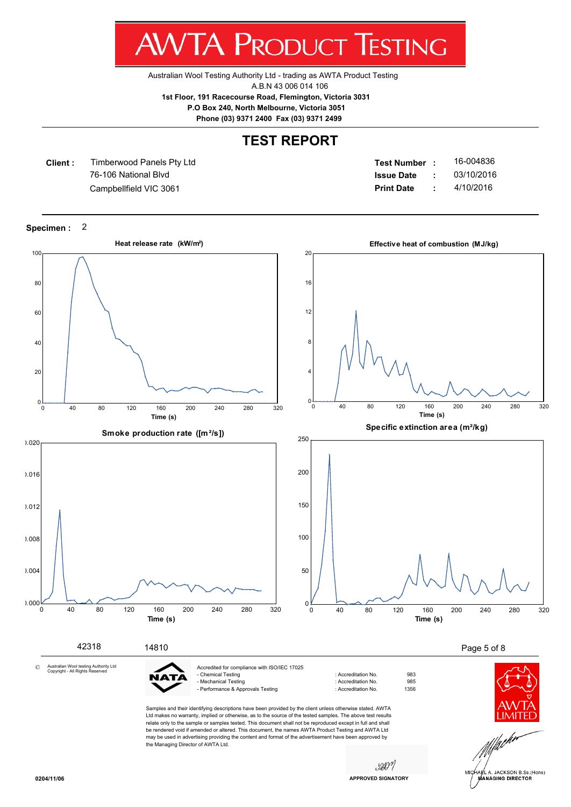Australian Wool Testing Authority Ltd - trading as AWTA Product Testing

A.B.N 43 006 014 106

**1st Floor, 191 Racecourse Road, Flemington, Victoria 3031**

 **P.O Box 240, North Melbourne, Victoria 3051**

**Phone (03) 9371 2400 Fax (03) 9371 2499**

#### **TEST REPORT**

**Client :** 76-106 National Blvd Timberwood Panels Pty Ltd

**Test Number : Issue Date :** 16-004836 Campbellfield VIC 3061 **Print Date :** 4/10/2016 03/10/2016

**Specimen :** 2



**ÍANAGING DIRECTOR**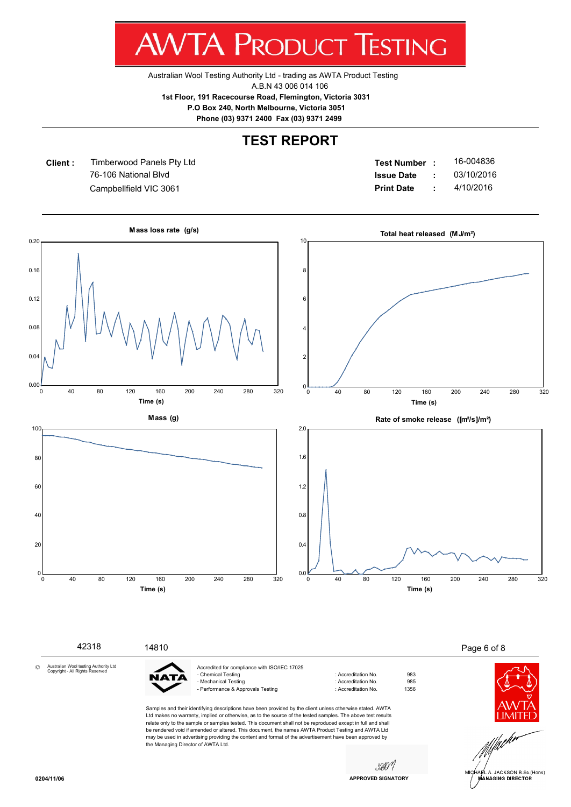Australian Wool Testing Authority Ltd - trading as AWTA Product Testing

A.B.N 43 006 014 106

**1st Floor, 191 Racecourse Road, Flemington, Victoria 3031**

 **P.O Box 240, North Melbourne, Victoria 3051**

**Phone (03) 9371 2400 Fax (03) 9371 2499**

### **TEST REPORT**

**Client :** 76-106 National Blvd Timberwood Panels Pty Ltd

**Test Number : Issue Date :** 16-004836 Campbellfield VIC 3061 **Print Date :** 4/10/2016 03/10/2016

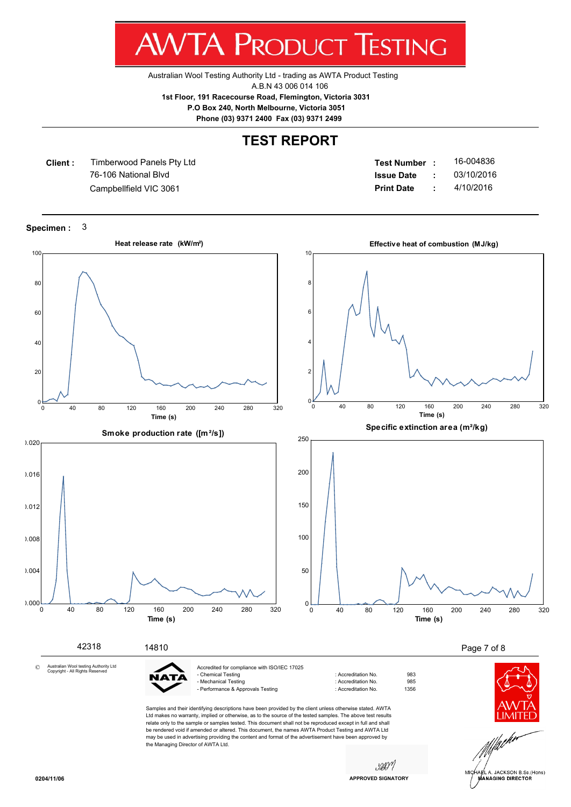Australian Wool Testing Authority Ltd - trading as AWTA Product Testing

A.B.N 43 006 014 106

**1st Floor, 191 Racecourse Road, Flemington, Victoria 3031**

 **P.O Box 240, North Melbourne, Victoria 3051**

**Phone (03) 9371 2400 Fax (03) 9371 2499**

#### **TEST REPORT**

**Client :** 76-106 National Blvd Timberwood Panels Pty Ltd

**Test Number : Issue Date :** 16-004836 Campbellfield VIC 3061 **Print Date :** 4/10/2016 03/10/2016

**Specimen :** 3

![](_page_6_Figure_10.jpeg)

JACKSON B.Sc.(Hons) **ÍANAGING DIRECTOR**